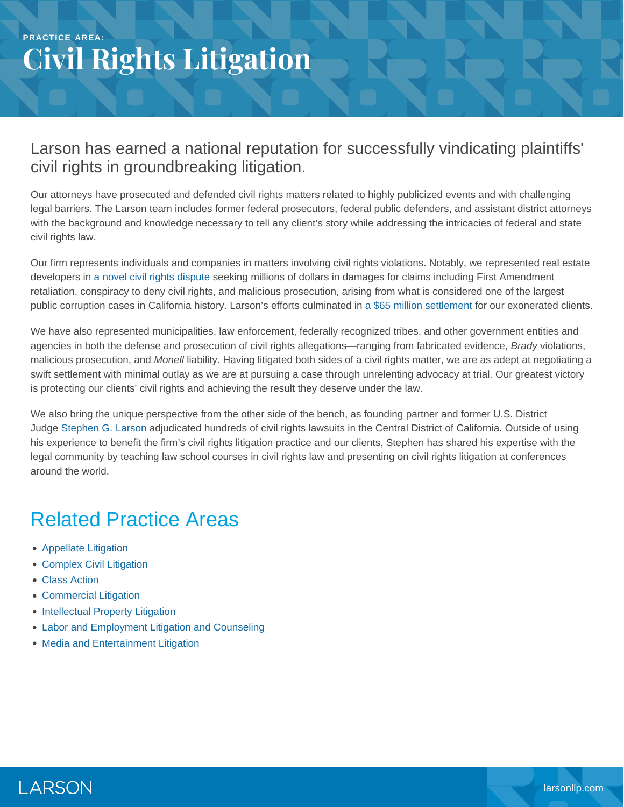### **PRACTICE AREA: Civil Rights Litigation**

#### Larson has earned a national reputation for successfully vindicating plaintiffs' civil rights in groundbreaking litigation.

Our attorneys have prosecuted and defended civil rights matters related to highly publicized events and with challenging legal barriers. The Larson team includes former federal prosecutors, federal public defenders, and assistant district attorneys with the background and knowledge necessary to tell any client's story while addressing the intricacies of federal and state civil rights law.

Our firm represents individuals and companies in matters involving civil rights violations. Notably, we represented real estate developers in [a novel civil rights dispute](https://www.larsonllp.com/county-loses-bid-to-dismiss-colonies-lawsuits/) seeking millions of dollars in damages for claims including First Amendment retaliation, conspiracy to deny civil rights, and malicious prosecution, arising from what is considered one of the largest public corruption cases in California history. Larson's efforts culminated in [a \\$65 million settlement](https://www.larsonllp.com/colonies-civil-rights-lawsuits-settle-for-65m/) for our exonerated clients.

We have also represented municipalities, law enforcement, federally recognized tribes, and other government entities and agencies in both the defense and prosecution of civil rights allegations—ranging from fabricated evidence, *Brady* violations, malicious prosecution, and *Monell* liability. Having litigated both sides of a civil rights matter, we are as adept at negotiating a swift settlement with minimal outlay as we are at pursuing a case through unrelenting advocacy at trial. Our greatest victory is protecting our clients' civil rights and achieving the result they deserve under the law.

We also bring the unique perspective from the other side of the bench, as founding partner and former U.S. District Judge [Stephen G. Larson](https://www.larsonllp.com/people/stephen-g-larson/) adjudicated hundreds of civil rights lawsuits in the Central District of California. Outside of using his experience to benefit the firm's civil rights litigation practice and our clients, Stephen has shared his expertise with the legal community by teaching law school courses in civil rights law and presenting on civil rights litigation at conferences around the world.

## Related Practice Areas

- [Appellate Litigation](https://www.larsonllp.com/practice-areas/appellate-litigation/)
- [Complex Civil Litigation](https://www.larsonllp.com/practice-areas/complex-civil-litigation/)
- [Class Action](https://www.larsonllp.com/practice-areas/complex-civil-litigation/class-action/)
- [Commercial Litigation](https://www.larsonllp.com/practice-areas/complex-civil-litigation/commercial-litigation/)
- [Intellectual Property Litigation](https://www.larsonllp.com/practice-areas/complex-civil-litigation/intellectual-property-litigation/)
- [Labor and Employment Litigation and Counseling](https://www.larsonllp.com/practice-areas/complex-civil-litigation/labor-and-employment-litigation-and-counseling/)
- [Media and Entertainment Litigation](https://www.larsonllp.com/practice-areas/complex-civil-litigation/media-and-entertainment-litigation/)